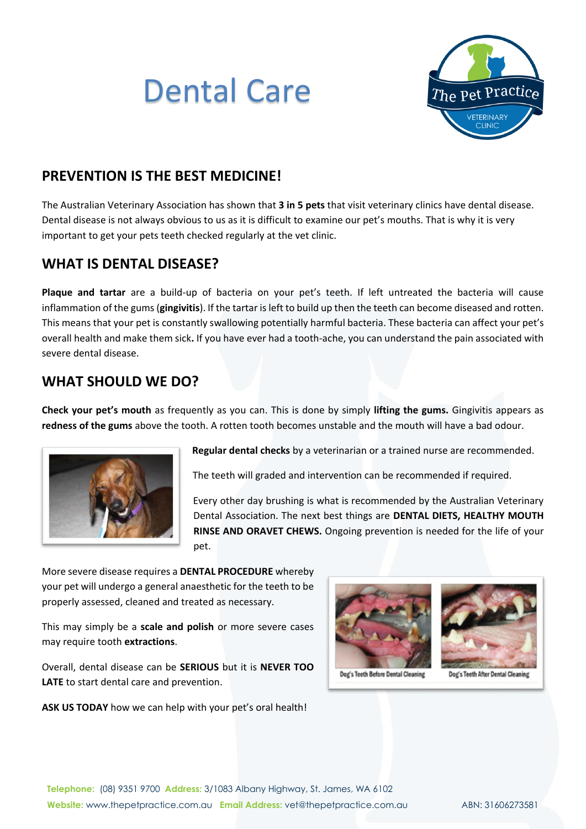# Dental Care



### **PREVENTION IS THE BEST MEDICINE!**

The Australian Veterinary Association has shown that **3 in 5 pets** that visit veterinary clinics have dental disease. Dental disease is not always obvious to us as it is difficult to examine our pet's mouths. That is why it is very important to get your pets teeth checked regularly at the vet clinic.

#### **WHAT IS DENTAL DISEASE?**

**Plaque and tartar** are a build-up of bacteria on your pet's teeth. If left untreated the bacteria will cause inflammation of the gums (**gingivitis**). If the tartar is left to build up then the teeth can become diseased and rotten. This means that your pet is constantly swallowing potentially harmful bacteria. These bacteria can affect your pet's overall health and make them sick**.** If you have ever had a tooth-ache, you can understand the pain associated with severe dental disease.

#### **WHAT SHOULD WE DO?**

**Check your pet's mouth** as frequently as you can. This is done by simply **lifting the gums.** Gingivitis appears as **redness of the gums** above the tooth. A rotten tooth becomes unstable and the mouth will have a bad odour.



**Regular dental checks** by a veterinarian or a trained nurse are recommended.

The teeth will graded and intervention can be recommended if required.

Every other day brushing is what is recommended by the Australian Veterinary Dental Association. The next best things are **DENTAL DIETS, HEALTHY MOUTH RINSE AND ORAVET CHEWS.** Ongoing prevention is needed for the life of your pet.

More severe disease requires a **DENTAL PROCEDURE** whereby your pet will undergo a general anaesthetic for the teeth to be properly assessed, cleaned and treated as necessary.

This may simply be a **scale and polish** or more severe cases may require tooth **extractions**.

Overall, dental disease can be **SERIOUS** but it is **NEVER TOO LATE** to start dental care and prevention.

**ASK US TODAY** how we can help with your pet's oral health!



Dog's Teeth Before Dental Cleaning



Dog's Teeth After Dental Cleaning